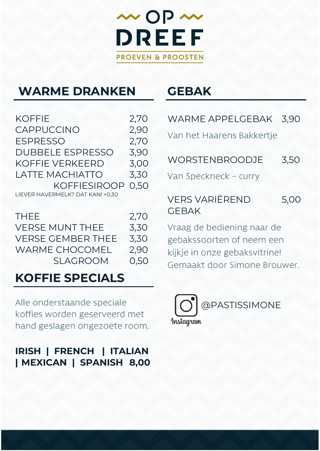

### **WARME DRANKEN**

KOFFIE 2,70<br>CAPPUCCINO 2.90 CAPPUCCINO 2,90<br>ESPRESSO 2.70 ESPRESSO 2,70<br>DUBBELE ESPRESSO 3.90 DUBBELE ESPRESSO KOFFIE VERKEERD 3,00 LATTE MACHIATTO 3,30 KOFFIESIROOP 0,50 LIEVER HAVERMELK? DAT KAN! +0,30

| THEE.                  | 2,70 |
|------------------------|------|
| <b>VERSE MUNT THEF</b> | 3.30 |
| VERSE GEMBER THEE      | 3.30 |
| WARME CHOCOMEL         | 2.90 |
| SI AGROOM              | 0.50 |

### **KOFFIE SPECIALS**

Alle onderstaande speciale koffies worden geserveerd met hand geslagen ongezoete room.

### **IRISH | FRENCH | ITALIAN | MEXICAN | SPANISH 8,00**

# **GEBAK**

| WARME APPELGEBAK 3,90                          |      |
|------------------------------------------------|------|
| Van het Haarens Bakkertje                      |      |
| <b>WORSTENBROODJE</b><br>Van Speckneck ~ curry | 3.50 |
| <b>VERS VARIËREND</b><br><b>GEBAK</b>          | 5.00 |

Vraag de bediening naar de gebakssoorten of neem een kijkje in onze gebaksvitrine! Gemaakt door Simone Brouwer.

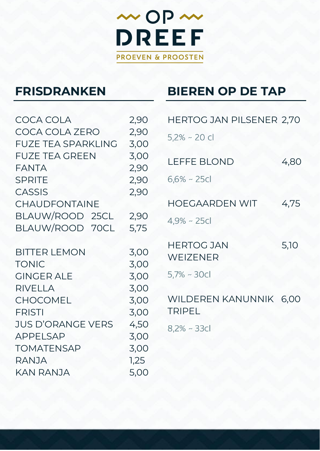

# **FRISDRANKEN**

### **BIEREN OP DE TAP**

| COCA COLA                             | 2,90         | HERTOG JAN PILSENER 2,70 |      |
|---------------------------------------|--------------|--------------------------|------|
| COCA COLA ZERO                        | 2,90         | $5,2\%$ ~ 20 cl          |      |
| <b>FUZE TEA SPARKLING</b>             | 3,00         |                          |      |
| <b>FUZE TEA GREEN</b><br><b>FANTA</b> | 3,00<br>2,90 | <b>LEFFE BLOND</b>       | 4,80 |
| <b>SPRITE</b>                         | 2,90         | $6,6%$ ~ 25cl            |      |
| <b>CASSIS</b>                         | 2,90         |                          |      |
| <b>CHAUDFONTAINE</b>                  |              | <b>HOEGAARDEN WIT</b>    | 4,75 |
| BLAUW/ROOD 25CL                       | 2,90         | $4,9%$ ~ 25cl            |      |
| BLAUW/ROOD 70CL                       | 5,75         |                          |      |
| <b>BITTER LEMON</b>                   | 3,00         | <b>HERTOG JAN</b>        | 5,10 |
| <b>TONIC</b>                          | 3,00         | WEIZENER                 |      |
| <b>GINGER ALE</b>                     | 3,00         | $5,7%$ ~ 30cl            |      |
| <b>RIVELLA</b>                        | 3,00         |                          |      |
| <b>CHOCOMEL</b>                       | 3,00         | WILDEREN KANUNNIK        | 6,00 |
| <b>FRISTI</b>                         | 3,00         | <b>TRIPEL</b>            |      |
| <b>JUS D'ORANGE VERS</b>              | 4,50         | $8,2%$ ~ 33cl            |      |
| <b>APPELSAP</b>                       | 3,00         |                          |      |
| <b>TOMATENSAP</b>                     | 3,00         |                          |      |
| RANJA                                 | 1,25         |                          |      |
| KAN RANJA                             | 5,00         |                          |      |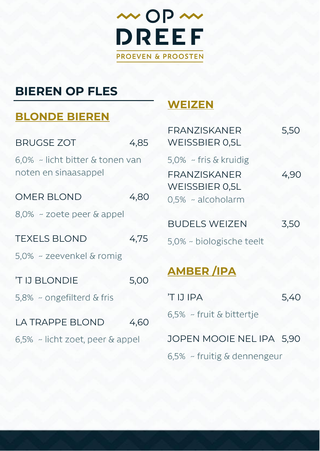

# **BIEREN OP FLES**

### **BLONDE BIEREN**

| <b>BRUGSE ZOT</b>                                       | 4,85 |  |
|---------------------------------------------------------|------|--|
| 6,0% ~ licht bitter & tonen van<br>noten en sinaasappel |      |  |
| <b>OMER BLOND</b>                                       | 4,80 |  |
| $8.0\%$ ~ zoete peer & appel                            |      |  |
| <b>TEXELS BLOND</b>                                     | 4,75 |  |
| 5.0% ~ zeevenkel & romig                                |      |  |
| <b>TIJ BLONDIE</b>                                      | 5,00 |  |
| 5.8% ~ ongefilterd & fris                               |      |  |
| <b>LA TRAPPE BLOND</b>                                  | 4.60 |  |
| $6.5\%$ ~ licht zoet, peer & appel                      |      |  |

### **WEIZEN**

| <b>FRANZISKANFR</b><br><b>WEISSBIER 0.5L</b>                                                  | 5,50 |
|-----------------------------------------------------------------------------------------------|------|
| 5,0% ~ fris & kruidig<br><b>FRANZISKANER</b><br><b>WEISSBIER 0.5L</b><br>$0.5\%$ ~ alcoholarm | 4,90 |
| <b>BUDELS WEIZEN</b>                                                                          | 3,50 |
| 5,0% ~ biologische teelt                                                                      |      |
| <b>AMBER/IPA</b>                                                                              |      |
| <b>TIJIPA</b>                                                                                 | 5,40 |
| $6.5\%$ ~ fruit & bittertje                                                                   |      |

JOPEN MOOIE NEL IPA 5,90

6,5% ~ fruitig & dennengeur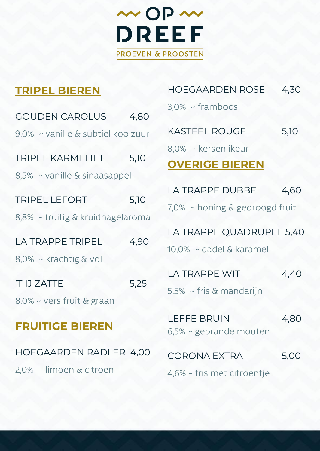

### **TRIPEL BIEREN**

| <b>GOUDEN CAROLUS</b>             | 4,80 |
|-----------------------------------|------|
| 9,0% ~ vanille & subtiel koolzuur |      |
| <b>TRIPEL KARMELIET</b>           | 5,10 |
| $8,5%$ ~ vanille & sinaasappel    |      |
| <b>TRIPEL LEFORT</b>              | 5,10 |
| 8,8% ~ fruitig & kruidnagelaroma  |      |
| <b>LA TRAPPE TRIPEL</b>           | 4,90 |
| 8,0% ~ krachtig & vol             |      |
| <b>TIJZATTE</b>                   | 5,25 |
| 8,0% ~ vers fruit & graan         |      |
| <b>FRUITIGE BIEREN</b>            |      |
| HOEGAARDEN RADLER 4,00            |      |

2,0% ~ limoen & citroen

| HOEGAARDEN ROSE    | 4,30 |
|--------------------|------|
| $3.0\%$ ~ framboos |      |

KASTEEL ROUGE 5,10

8.0% ~ kersenlikeur

### **OVERIGE BIEREN**

LA TRAPPE DUBBEL 4.60  $7.0\%$  ~ honing & gedroogd fruit

LA TRAPPE QUADRUPEL 5,40

10.0% ~ dadel & karamel

| LA TRAPPE WIT              | 4,40 |
|----------------------------|------|
| $5.5\%$ ~ fris & mandariin |      |

LEFFE BRUIN 4.80 6,5% ~ gebrande mouten

| CORONA EXTRA               | 5,00 |
|----------------------------|------|
| 4,6% ~ fris met citroentje |      |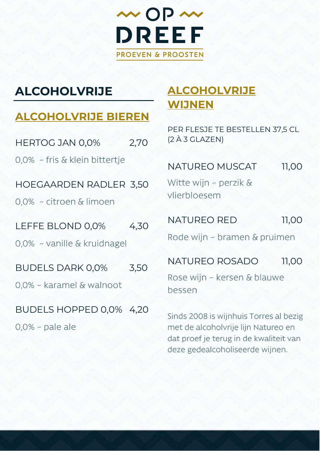

# **ALCOHOLVRIJE**

### **ALCOHOLVRIJE BIEREN**

| <b>HERTOG JAN 0,0%</b>                              | 2,70 |
|-----------------------------------------------------|------|
| 0,0% ~ fris & klein bittertje                       |      |
| HOEGAARDEN RADLER 3,50<br>0.0% ~ citroen & limoen   |      |
| LEFFE BLOND 0.0%                                    | 4.30 |
| 0.0% ~ vanille & kruidnagel                         |      |
| <b>BUDELS DARK 0,0%</b><br>0,0% ~ karamel & walnoot | 3.50 |
| BUDELS HOPPED 0,0% 4,20<br>$0.0\%$ ~ pale ale       |      |

## **ALCOHOLVRIJE WIJNEN**

PER FLESJE TE BESTELLEN 37,5 CL (2 À 3 GLAZEN)

### NATUREO MUSCAT 11,00

Witte wijn ~ perzik & vlierbloesem

NATUREO RED 11,00

Rode wijn ~ bramen & pruimen

#### NATUREO ROSADO 11,00

Rose wijn ~ kersen & blauwe bessen

Sinds 2008 is wijnhuis Torres al bezig met de alcoholvrije lijn Natureo en dat proef je terug in de kwaliteit van deze gedealcoholiseerde wijnen.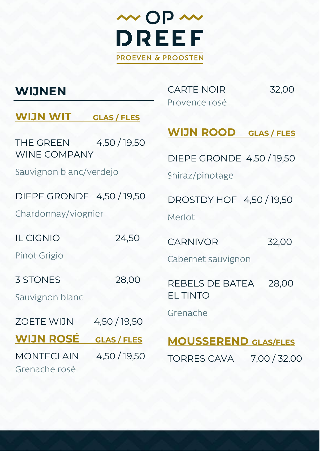

## **WIJNEN**

CARTE NOIR 32,00 Provence rosé

### **WIJN WIT GLAS / FLES**

THE GREEN 4,50 / 19,50 WINE COMPANY

Sauvignon blanc/verdejo

#### DIEPE GRONDE 4,50 / 19,50

Chardonnay/viognier

IL CIGNIO 24,50 Pinot Grigio

3 STONES 28,00

Sauvignon blanc

ZOETE WIJN 4,50 / 19,50

**WIJN ROSÉ GLAS / FLES**

MONTECLAIN 4,50 / 19,50 Grenache rosé

**WIJN ROOD GLAS / FLES**

DIEPE GRONDE 4,50 / 19,50

Shiraz/pinotage

DROSTDY HOF 4,50 / 19,50 Merlot

CARNIVOR 32,00

Cabernet sauvignon

REBELS DE BATEA 28,00 EL TINTO

Grenache

### **MOUSSEREND GLAS/FLES** TORRES CAVA 7,00 / 32,00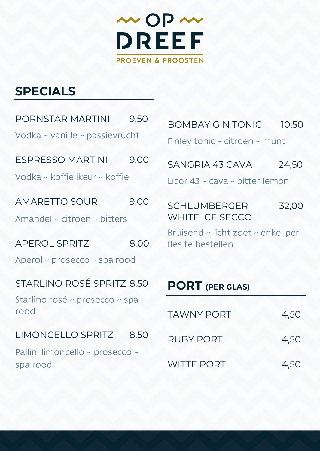

# **SPECIALS**

| PORNSTAR MARTINI 9,50                       |      |  |
|---------------------------------------------|------|--|
| Vodka ~ vanille ~ passievrucht              |      |  |
| ESPRESSO MARTINI 9,00                       |      |  |
| Vodka ~ koffielikeur ~ koffie               |      |  |
| <b>AMARETTO SOUR</b>                        | 9.00 |  |
| Amandel ~ citroen ~ bitters                 |      |  |
| <b>APEROL SPRITZ</b>                        | 8,00 |  |
| Aperol ~ prosecco ~ spa rood                |      |  |
| STARLINO ROSÉ SPRITZ 8,50                   |      |  |
| Starlino rosé ~ prosecco ~ spa<br>rood      |      |  |
| LIMONCELLO SPRITZ 8,50                      |      |  |
| Pallini limoncello ~ prosecco ~<br>spa rood |      |  |
|                                             |      |  |

| <b>BOMBAY GIN TONIC</b>                 | 10.50 |
|-----------------------------------------|-------|
| Finley tonic $\sim$ citroen $\sim$ munt |       |

| 24,50 |
|-------|
|       |

Licor 43 ~ cava ~ bitter lemon

| SCHLUMBERGER    | 32,00 |
|-----------------|-------|
| WHITE ICE SECCO |       |

Bruisend ~ licht zoet ~ enkel per fles te bestellen

## **PORT (PER GLAS)**

| TAWNY PORT        | 4,50 |
|-------------------|------|
| RUBY PORT         | 4,50 |
| <b>WITTE PORT</b> | 4,50 |